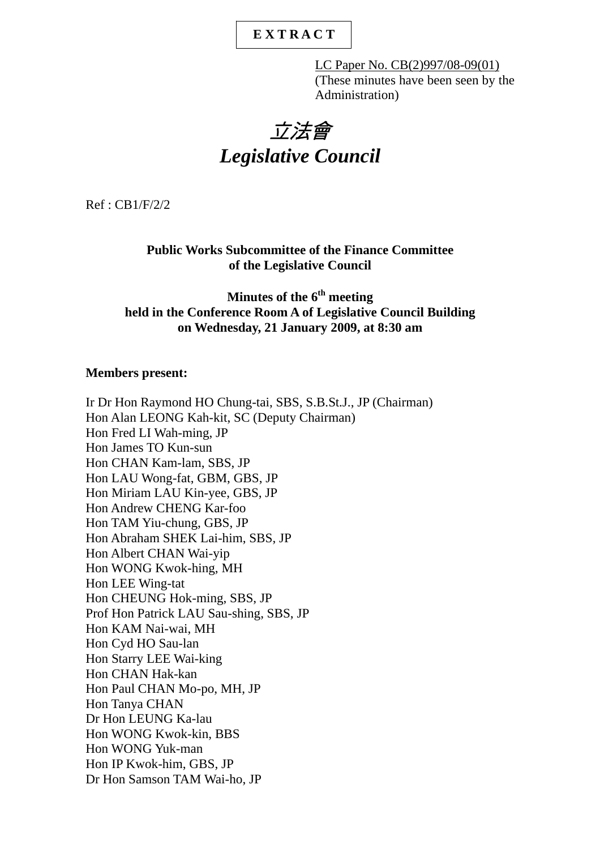# **E X T R A C T**

LC Paper No. CB(2)997/08-09(01) (These minutes have been seen by the Administration)

# 立法會 *Legislative Council*

Ref : CB1/F/2/2

#### **Public Works Subcommittee of the Finance Committee of the Legislative Council**

# **Minutes of the 6th meeting held in the Conference Room A of Legislative Council Building on Wednesday, 21 January 2009, at 8:30 am**

#### **Members present:**

Ir Dr Hon Raymond HO Chung-tai, SBS, S.B.St.J., JP (Chairman) Hon Alan LEONG Kah-kit, SC (Deputy Chairman) Hon Fred LI Wah-ming, JP Hon James TO Kun-sun Hon CHAN Kam-lam, SBS, JP Hon LAU Wong-fat, GBM, GBS, JP Hon Miriam LAU Kin-yee, GBS, JP Hon Andrew CHENG Kar-foo Hon TAM Yiu-chung, GBS, JP Hon Abraham SHEK Lai-him, SBS, JP Hon Albert CHAN Wai-yip Hon WONG Kwok-hing, MH Hon LEE Wing-tat Hon CHEUNG Hok-ming, SBS, JP Prof Hon Patrick LAU Sau-shing, SBS, JP Hon KAM Nai-wai, MH Hon Cyd HO Sau-lan Hon Starry LEE Wai-king Hon CHAN Hak-kan Hon Paul CHAN Mo-po, MH, JP Hon Tanya CHAN Dr Hon LEUNG Ka-lau Hon WONG Kwok-kin, BBS Hon WONG Yuk-man Hon IP Kwok-him, GBS, JP Dr Hon Samson TAM Wai-ho, JP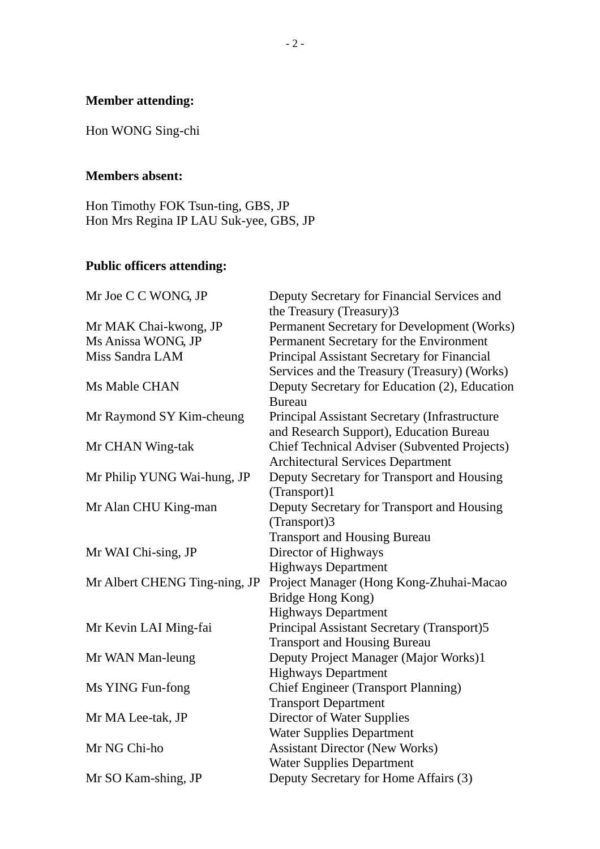# **Member attending:**

Hon WONG Sing-chi

# **Members absent:**

Hon Timothy FOK Tsun-ting, GBS, JP Hon Mrs Regina IP LAU Suk-yee, GBS, JP

# **Public officers attending:**

| Mr Joe C C WONG, JP           | Deputy Secretary for Financial Services and<br>the Treasury (Treasury)3 |
|-------------------------------|-------------------------------------------------------------------------|
| Mr MAK Chai-kwong, JP         | Permanent Secretary for Development (Works)                             |
| Ms Anissa WONG, JP            | Permanent Secretary for the Environment                                 |
| Miss Sandra LAM               | Principal Assistant Secretary for Financial                             |
|                               | Services and the Treasury (Treasury) (Works)                            |
| Ms Mable CHAN                 | Deputy Secretary for Education (2), Education                           |
|                               | <b>Bureau</b>                                                           |
| Mr Raymond SY Kim-cheung      | Principal Assistant Secretary (Infrastructure                           |
|                               | and Research Support), Education Bureau                                 |
| Mr CHAN Wing-tak              | <b>Chief Technical Adviser (Subvented Projects)</b>                     |
|                               | <b>Architectural Services Department</b>                                |
| Mr Philip YUNG Wai-hung, JP   | Deputy Secretary for Transport and Housing                              |
|                               | (Transport)1                                                            |
| Mr Alan CHU King-man          | Deputy Secretary for Transport and Housing                              |
|                               | (Transport)3                                                            |
|                               | <b>Transport and Housing Bureau</b>                                     |
| Mr WAI Chi-sing, JP           | Director of Highways                                                    |
|                               | <b>Highways Department</b>                                              |
| Mr Albert CHENG Ting-ning, JP | Project Manager (Hong Kong-Zhuhai-Macao                                 |
|                               | Bridge Hong Kong)                                                       |
|                               | <b>Highways Department</b>                                              |
| Mr Kevin LAI Ming-fai         | Principal Assistant Secretary (Transport)5                              |
|                               | <b>Transport and Housing Bureau</b>                                     |
| Mr WAN Man-leung              | Deputy Project Manager (Major Works)1                                   |
|                               | <b>Highways Department</b>                                              |
| Ms YING Fun-fong              | <b>Chief Engineer (Transport Planning)</b>                              |
|                               | <b>Transport Department</b>                                             |
| Mr MA Lee-tak, JP             | <b>Director of Water Supplies</b>                                       |
|                               | <b>Water Supplies Department</b>                                        |
| Mr NG Chi-ho                  | <b>Assistant Director (New Works)</b>                                   |
|                               | <b>Water Supplies Department</b>                                        |
| Mr SO Kam-shing, JP           | Deputy Secretary for Home Affairs (3)                                   |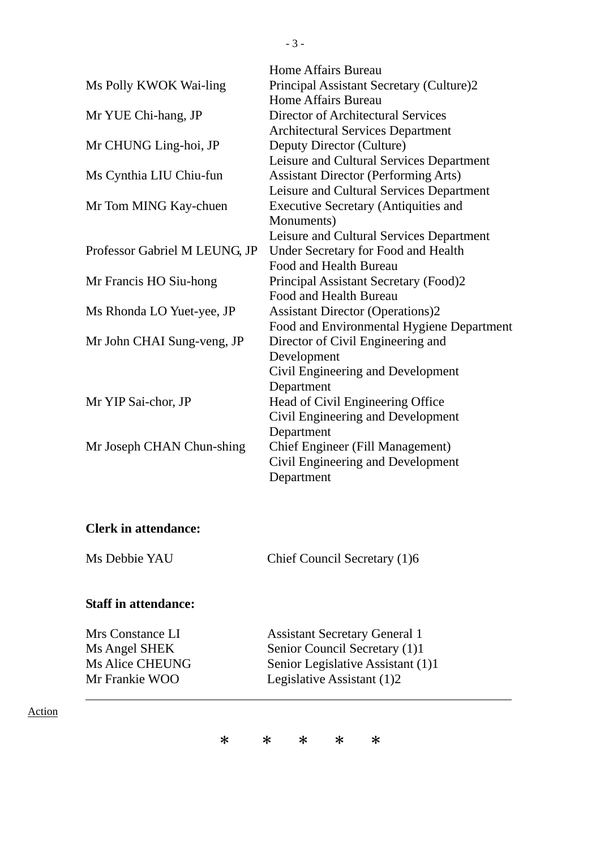|                               | Home Affairs Bureau                         |
|-------------------------------|---------------------------------------------|
| Ms Polly KWOK Wai-ling        | Principal Assistant Secretary (Culture)2    |
|                               | Home Affairs Bureau                         |
| Mr YUE Chi-hang, JP           | Director of Architectural Services          |
|                               | <b>Architectural Services Department</b>    |
| Mr CHUNG Ling-hoi, JP         | Deputy Director (Culture)                   |
|                               | Leisure and Cultural Services Department    |
| Ms Cynthia LIU Chiu-fun       | <b>Assistant Director (Performing Arts)</b> |
|                               | Leisure and Cultural Services Department    |
| Mr Tom MING Kay-chuen         | <b>Executive Secretary (Antiquities and</b> |
|                               | Monuments)                                  |
|                               | Leisure and Cultural Services Department    |
| Professor Gabriel M LEUNG, JP | Under Secretary for Food and Health         |
|                               | Food and Health Bureau                      |
| Mr Francis HO Siu-hong        | Principal Assistant Secretary (Food)2       |
|                               | Food and Health Bureau                      |
| Ms Rhonda LO Yuet-yee, JP     | <b>Assistant Director (Operations)2</b>     |
|                               | Food and Environmental Hygiene Department   |
| Mr John CHAI Sung-veng, JP    | Director of Civil Engineering and           |
|                               | Development                                 |
|                               | Civil Engineering and Development           |
|                               | Department                                  |
| Mr YIP Sai-chor, JP           | Head of Civil Engineering Office            |
|                               | Civil Engineering and Development           |
|                               | Department                                  |
| Mr Joseph CHAN Chun-shing     | <b>Chief Engineer (Fill Management)</b>     |
|                               | Civil Engineering and Development           |
|                               | Department                                  |
|                               |                                             |

#### **Clerk in attendance:**

Ms Debbie YAU Chief Council Secretary (1)6

#### **Staff in attendance:**

Mrs Constance LI<br>
Ms Angel SHEK<br>
Senior Council Secretary (1)1 Ms Angel SHEK<br>
Ms Alice CHEUNG<br>
Ms Alice CHEUNG<br>
Senior Legislative Assistant (1)

Senior Legislative Assistant (1)1 Mr Frankie WOO Legislative Assistant (1)2

#### Action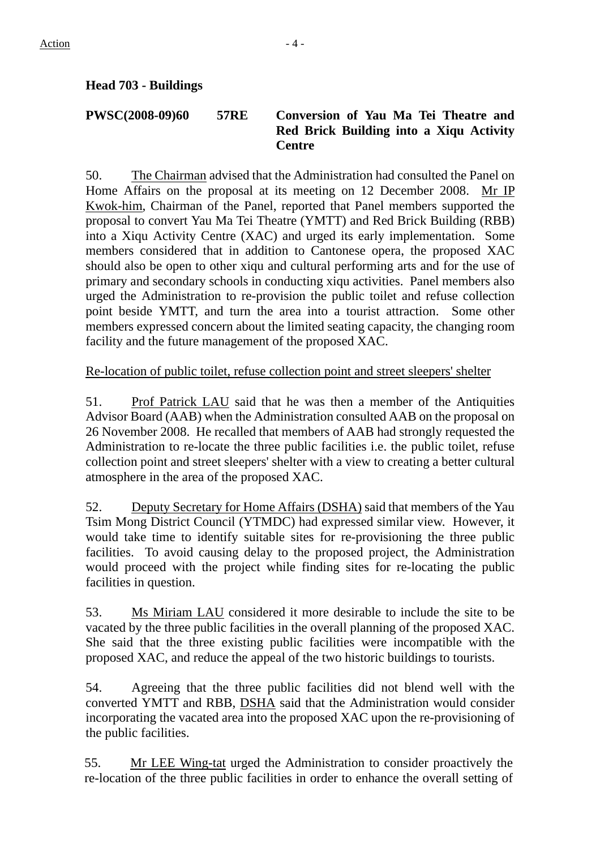# **Head 703 - Buildings**

#### **PWSC(2008-09)60 57RE Conversion of Yau Ma Tei Theatre and Red Brick Building into a Xiqu Activity Centre**

50. The Chairman advised that the Administration had consulted the Panel on Home Affairs on the proposal at its meeting on 12 December 2008. Mr IP Kwok-him, Chairman of the Panel, reported that Panel members supported the proposal to convert Yau Ma Tei Theatre (YMTT) and Red Brick Building (RBB) into a Xiqu Activity Centre (XAC) and urged its early implementation. Some members considered that in addition to Cantonese opera, the proposed XAC should also be open to other xiqu and cultural performing arts and for the use of primary and secondary schools in conducting xiqu activities. Panel members also urged the Administration to re-provision the public toilet and refuse collection point beside YMTT, and turn the area into a tourist attraction. Some other members expressed concern about the limited seating capacity, the changing room facility and the future management of the proposed XAC.

### Re-location of public toilet, refuse collection point and street sleepers' shelter

51. Prof Patrick LAU said that he was then a member of the Antiquities Advisor Board (AAB) when the Administration consulted AAB on the proposal on 26 November 2008. He recalled that members of AAB had strongly requested the Administration to re-locate the three public facilities i.e. the public toilet, refuse collection point and street sleepers' shelter with a view to creating a better cultural atmosphere in the area of the proposed XAC.

52. Deputy Secretary for Home Affairs (DSHA) said that members of the Yau Tsim Mong District Council (YTMDC) had expressed similar view. However, it would take time to identify suitable sites for re-provisioning the three public facilities. To avoid causing delay to the proposed project, the Administration would proceed with the project while finding sites for re-locating the public facilities in question.

53. Ms Miriam LAU considered it more desirable to include the site to be vacated by the three public facilities in the overall planning of the proposed XAC. She said that the three existing public facilities were incompatible with the proposed XAC, and reduce the appeal of the two historic buildings to tourists.

54. Agreeing that the three public facilities did not blend well with the converted YMTT and RBB, DSHA said that the Administration would consider incorporating the vacated area into the proposed XAC upon the re-provisioning of the public facilities.

55. Mr LEE Wing-tat urged the Administration to consider proactively the re-location of the three public facilities in order to enhance the overall setting of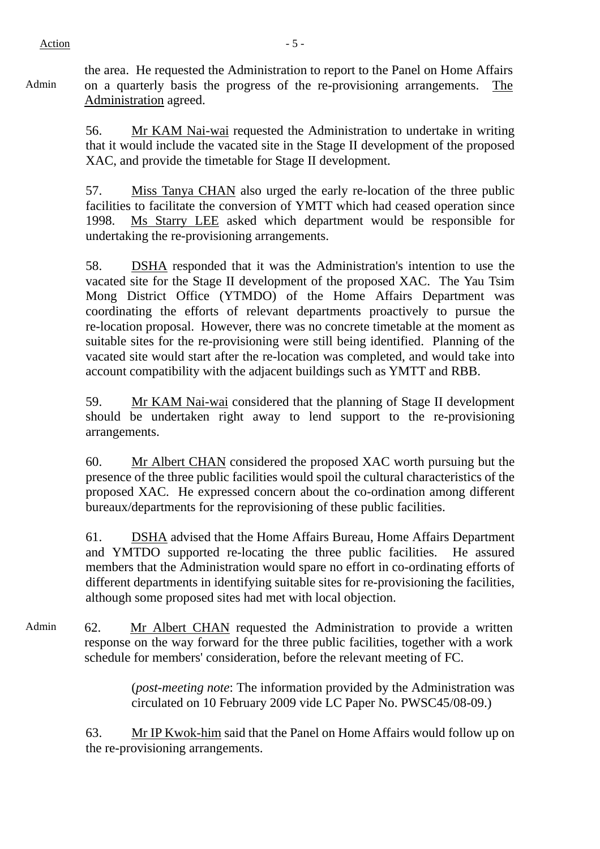Admin

the area. He requested the Administration to report to the Panel on Home Affairs on a quarterly basis the progress of the re-provisioning arrangements. The Administration agreed.

56. Mr KAM Nai-wai requested the Administration to undertake in writing that it would include the vacated site in the Stage II development of the proposed XAC, and provide the timetable for Stage II development.

57. Miss Tanya CHAN also urged the early re-location of the three public facilities to facilitate the conversion of YMTT which had ceased operation since 1998. Ms Starry LEE asked which department would be responsible for undertaking the re-provisioning arrangements.

58. DSHA responded that it was the Administration's intention to use the vacated site for the Stage II development of the proposed XAC. The Yau Tsim Mong District Office (YTMDO) of the Home Affairs Department was coordinating the efforts of relevant departments proactively to pursue the re-location proposal. However, there was no concrete timetable at the moment as suitable sites for the re-provisioning were still being identified. Planning of the vacated site would start after the re-location was completed, and would take into account compatibility with the adjacent buildings such as YMTT and RBB.

59. Mr KAM Nai-wai considered that the planning of Stage II development should be undertaken right away to lend support to the re-provisioning arrangements.

60. Mr Albert CHAN considered the proposed XAC worth pursuing but the presence of the three public facilities would spoil the cultural characteristics of the proposed XAC. He expressed concern about the co-ordination among different bureaux/departments for the reprovisioning of these public facilities.

61. DSHA advised that the Home Affairs Bureau, Home Affairs Department and YMTDO supported re-locating the three public facilities. He assured members that the Administration would spare no effort in co-ordinating efforts of different departments in identifying suitable sites for re-provisioning the facilities, although some proposed sites had met with local objection.

Admin 62. Mr Albert CHAN requested the Administration to provide a written response on the way forward for the three public facilities, together with a work schedule for members' consideration, before the relevant meeting of FC.

> (*post-meeting note*: The information provided by the Administration was circulated on 10 February 2009 vide LC Paper No. PWSC45/08-09.)

63. Mr IP Kwok-him said that the Panel on Home Affairs would follow up on the re-provisioning arrangements.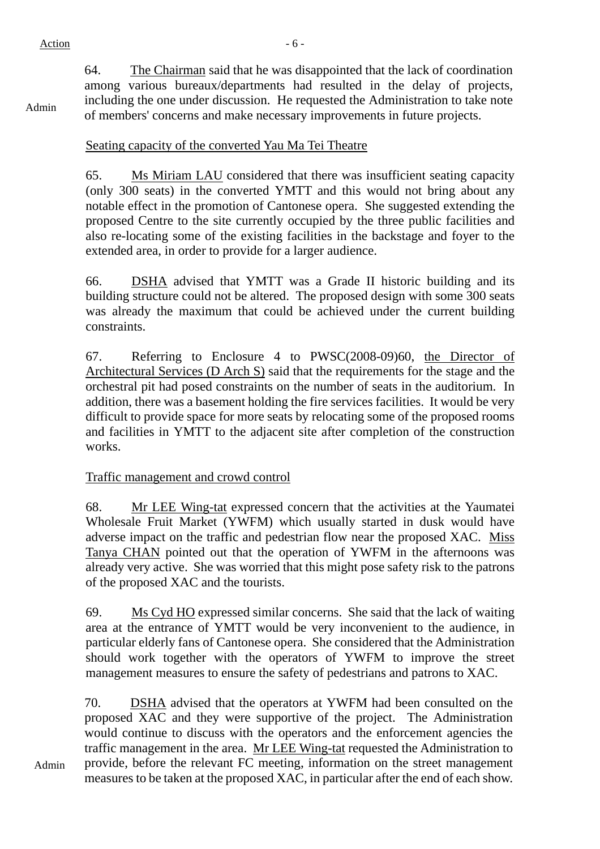Admin

64. The Chairman said that he was disappointed that the lack of coordination among various bureaux/departments had resulted in the delay of projects, including the one under discussion. He requested the Administration to take note of members' concerns and make necessary improvements in future projects.

# Seating capacity of the converted Yau Ma Tei Theatre

65. Ms Miriam LAU considered that there was insufficient seating capacity (only 300 seats) in the converted YMTT and this would not bring about any notable effect in the promotion of Cantonese opera. She suggested extending the proposed Centre to the site currently occupied by the three public facilities and also re-locating some of the existing facilities in the backstage and foyer to the extended area, in order to provide for a larger audience.

66. DSHA advised that YMTT was a Grade II historic building and its building structure could not be altered. The proposed design with some 300 seats was already the maximum that could be achieved under the current building constraints.

67. Referring to Enclosure 4 to PWSC(2008-09)60, the Director of Architectural Services (D Arch S) said that the requirements for the stage and the orchestral pit had posed constraints on the number of seats in the auditorium. In addition, there was a basement holding the fire services facilities. It would be very difficult to provide space for more seats by relocating some of the proposed rooms and facilities in YMTT to the adjacent site after completion of the construction works.

#### Traffic management and crowd control

68. Mr LEE Wing-tat expressed concern that the activities at the Yaumatei Wholesale Fruit Market (YWFM) which usually started in dusk would have adverse impact on the traffic and pedestrian flow near the proposed XAC. Miss Tanya CHAN pointed out that the operation of YWFM in the afternoons was already very active. She was worried that this might pose safety risk to the patrons of the proposed XAC and the tourists.

69. Ms Cyd HO expressed similar concerns. She said that the lack of waiting area at the entrance of YMTT would be very inconvenient to the audience, in particular elderly fans of Cantonese opera. She considered that the Administration should work together with the operators of YWFM to improve the street management measures to ensure the safety of pedestrians and patrons to XAC.

70. DSHA advised that the operators at YWFM had been consulted on the proposed XAC and they were supportive of the project. The Administration would continue to discuss with the operators and the enforcement agencies the traffic management in the area. Mr LEE Wing-tat requested the Administration to provide, before the relevant FC meeting, information on the street management measures to be taken at the proposed XAC, in particular after the end of each show.

Admin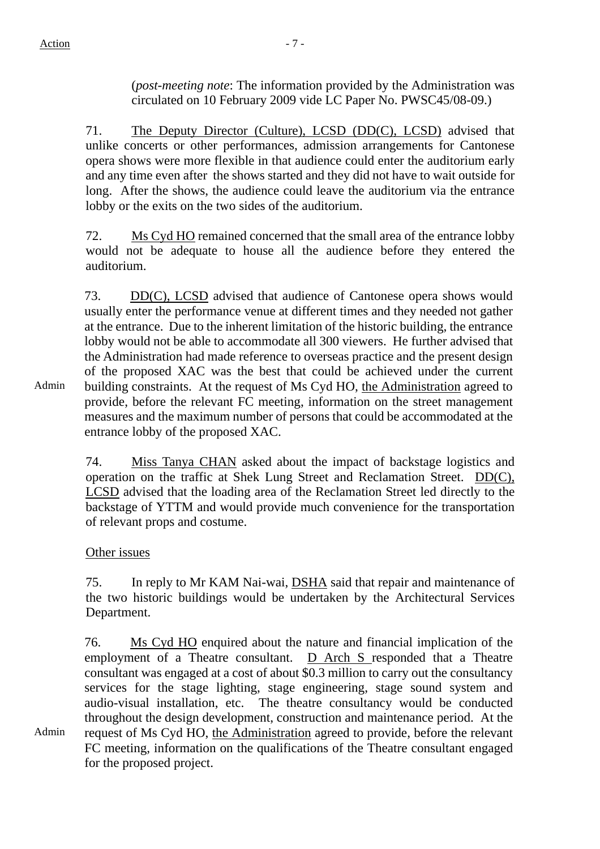(*post-meeting note*: The information provided by the Administration was circulated on 10 February 2009 vide LC Paper No. PWSC45/08-09.)

71. The Deputy Director (Culture), LCSD (DD(C), LCSD) advised that unlike concerts or other performances, admission arrangements for Cantonese opera shows were more flexible in that audience could enter the auditorium early and any time even after the shows started and they did not have to wait outside for long. After the shows, the audience could leave the auditorium via the entrance lobby or the exits on the two sides of the auditorium.

72. Ms Cyd HO remained concerned that the small area of the entrance lobby would not be adequate to house all the audience before they entered the auditorium.

73. DD(C), LCSD advised that audience of Cantonese opera shows would usually enter the performance venue at different times and they needed not gather at the entrance. Due to the inherent limitation of the historic building, the entrance lobby would not be able to accommodate all 300 viewers. He further advised that the Administration had made reference to overseas practice and the present design of the proposed XAC was the best that could be achieved under the current building constraints. At the request of Ms Cyd HO, the Administration agreed to provide, before the relevant FC meeting, information on the street management measures and the maximum number of persons that could be accommodated at the entrance lobby of the proposed XAC.

74. Miss Tanya CHAN asked about the impact of backstage logistics and operation on the traffic at Shek Lung Street and Reclamation Street. DD(C), LCSD advised that the loading area of the Reclamation Street led directly to the backstage of YTTM and would provide much convenience for the transportation of relevant props and costume.

# Other issues

75. In reply to Mr KAM Nai-wai, DSHA said that repair and maintenance of the two historic buildings would be undertaken by the Architectural Services Department.

76. Ms Cyd HO enquired about the nature and financial implication of the employment of a Theatre consultant. D Arch S responded that a Theatre consultant was engaged at a cost of about \$0.3 million to carry out the consultancy services for the stage lighting, stage engineering, stage sound system and audio-visual installation, etc. The theatre consultancy would be conducted throughout the design development, construction and maintenance period. At the request of Ms Cyd HO, the Administration agreed to provide, before the relevant FC meeting, information on the qualifications of the Theatre consultant engaged for the proposed project.

Admin

Admin